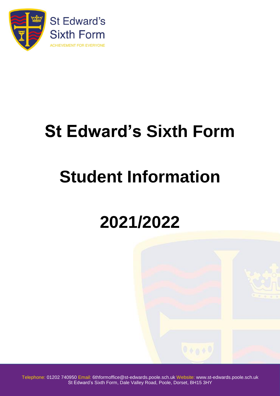

## **St Edward's Sixth Form**

# **Student Information**

## **2021/2022**

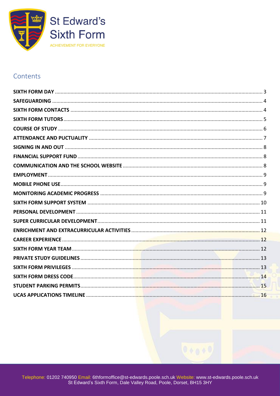

#### Contents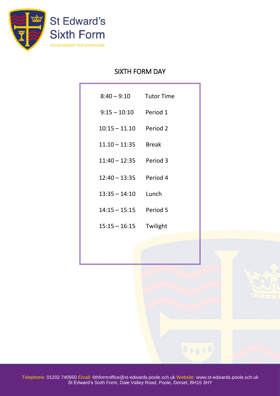<span id="page-2-0"></span>

### SIXTH FORM DAY

|                          | 8:40 - 9:10 Tutor Time |
|--------------------------|------------------------|
| $9:15 - 10:10$ Period 1  |                        |
| $10:15 - 11.10$ Period 2 |                        |
| $11.10 - 11.35$ Break    |                        |
| $11:40 - 12:35$ Period 3 |                        |
| $12:40 - 13:35$ Period 4 |                        |
| $13:35 - 14:10$ Lunch    |                        |
| $14:15 - 15:15$ Period 5 |                        |
| $15:15 - 16:15$          | Twilight               |
|                          |                        |
|                          |                        |
|                          |                        |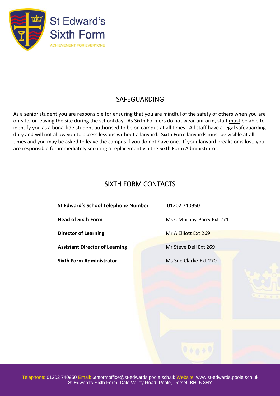

## SAFEGUARDING

<span id="page-3-0"></span>As a senior student you are responsible for ensuring that you are mindful of the safety of others when you are on-site, or leaving the site during the school day. As Sixth Formers do not wear uniform, staff must be able to identify you as a bona-fide student authorised to be on campus at all times. All staff have a legal safeguarding duty and will not allow you to access lessons without a lanyard. Sixth Form lanyards must be visible at all times and you may be asked to leave the campus if you do not have one. If your lanyard breaks or is lost, you are responsible for immediately securing a replacement via the Sixth Form Administrator.

## SIXTH FORM CONTACTS

<span id="page-3-1"></span>**St Edward's School Telephone Number** 01202 740950 **Head of Sixth Form** Ms C Murphy-Parry Ext 271 **Director of Learning** Mr A Elliott Ext 269 **Assistant Director of Learning Mr Steve Dell Ext 269 Sixth Form Administrator** Ms Sue Clarke Ext 270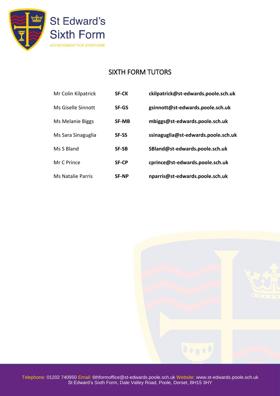

## SIXTH FORM TUTORS

<span id="page-4-0"></span>

| Mr Colin Kilpatrick      | <b>SF-CK</b> | ckilpatrick@st-edwards.poole.sch.uk |
|--------------------------|--------------|-------------------------------------|
| Ms Giselle Sinnott       | <b>SF-GS</b> | gsinnott@st-edwards.poole.sch.uk    |
| Ms Melanie Biggs         | <b>SF-MB</b> | mbiggs@st-edwards.poole.sch.uk      |
| Ms Sara Sinaguglia       | <b>SF-SS</b> | ssinaguglia@st-edwards.poole.sch.uk |
| Ms S Bland               | <b>SF-SB</b> | SBland@st-edwards.poole.sch.uk      |
| Mr C Prince              | <b>SF-CP</b> | cprince@st-edwards.poole.sch.uk     |
| <b>Ms Natalie Parris</b> | <b>SF-NP</b> | nparris@st-edwards.poole.sch.uk     |

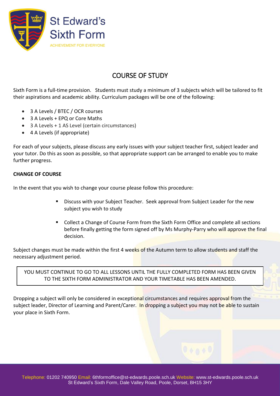

## COURSE OF STUDY

<span id="page-5-0"></span>Sixth Form is a full-time provision. Students must study a minimum of 3 subjects which will be tailored to fit their aspirations and academic ability. Curriculum packages will be one of the following:

- 3 A Levels / BTEC / OCR courses
- 3 A Levels + EPQ or Core Maths
- 3 A Levels + 1 AS Level (certain circumstances)
- 4 A Levels (if appropriate)

For each of your subjects, please discuss any early issues with your subject teacher first, subject leader and your tutor. Do this as soon as possible, so that appropriate support can be arranged to enable you to make further progress.

#### **CHANGE OF COURSE**

In the event that you wish to change your course please follow this procedure:

- Discuss with your Subject Teacher. Seek approval from Subject Leader for the new subject you wish to study
- Collect a Change of Course Form from the Sixth Form Office and complete all sections before finally getting the form signed off by Ms Murphy-Parry who will approve the final decision.

Subject changes must be made within the first 4 weeks of the Autumn term to allow students and staff the necessary adjustment period.

YOU MUST CONTINUE TO GO TO ALL LESSONS UNTIL THE FULLY COMPLETED FORM HAS BEEN GIVEN TO THE SIXTH FORM ADMINISTRATOR AND YOUR TIMETABLE HAS BEEN AMENDED.

Dropping a subject will only be considered in exceptional circumstances and requires approval from the subject leader, Director of Learning and Parent/Carer. In dropping a subject you may not be able to sustain your place in Sixth Form.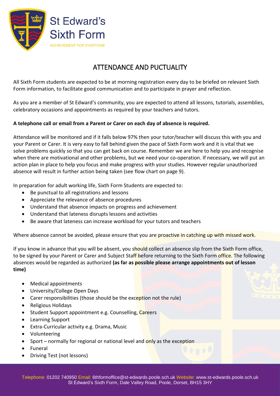

## ATTENDANCE AND PUCTUALITY

<span id="page-6-0"></span>All Sixth Form students are expected to be at morning registration every day to be briefed on relevant Sixth Form information, to facilitate good communication and to participate in prayer and reflection.

As you are a member of St Edward's community, you are expected to attend all lessons, tutorials, assemblies, celebratory occasions and appointments as required by your teachers and tutors.

#### **A telephone call or email from a Parent or Carer on each day of absence is required.**

Attendance will be monitored and if it falls below 97% then your tutor/teacher will discuss this with you and your Parent or Carer. It is very easy to fall behind given the pace of Sixth Form work and it is vital that we solve problems quickly so that you can get back on course. Remember we are here to help you and recognise when there are motivational and other problems, but we need your co-operation. If necessary, we will put an action plan in place to help you focus and make progress with your studies. However regular unauthorized absence will result in further action being taken (see flow chart on page 9).

In preparation for adult working life, Sixth Form Students are expected to:

- Be punctual to all registrations and lessons
- Appreciate the relevance of absence procedures
- Understand that absence impacts on progress and achievement
- Understand that lateness disrupts lessons and activities
- Be aware that lateness can increase workload for your tutors and teachers

Where absence cannot be avoided, please ensure that you are proactive in catching up with missed work.

If you know in advance that you will be absent, you should collect an absence slip from the Sixth Form office, to be signed by your Parent or Carer and Subject Staff before returning to the Sixth Form office. The following absences would be regarded as authorized **(as far as possible please arrange appointments out of lesson time)**

- Medical appointments
- University/College Open Days
- Carer responsibilities (those should be the exception not the rule)
- Religious Holidays
- Student Support appointment e.g. Counselling, Careers
- Learning Support
- Extra-Curricular activity e.g. Drama, Music
- Volunteering
- Sport normally for regional or national level and only as the exception
- Funeral
- Driving Test (not lessons)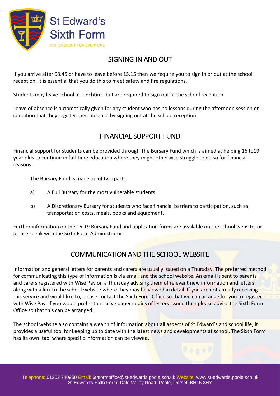

## SIGNING IN AND OUT

<span id="page-7-0"></span>If you arrive after 08.45 or have to leave before 15.15 then we require you to sign in or out at the school reception. It is essential that you do this to meet safety and fire regulations.

Students may leave school at lunchtime but are required to sign out at the school reception.

<span id="page-7-1"></span>Leave of absence is automatically given for any student who has no lessons during the afternoon session on condition that they register their absence by signing out at the school reception.

## FINANCIAL SUPPORT FUND

Financial support for students can be provided through The Bursary Fund which is aimed at helping 16 to19 year olds to continue in full-time education where they might otherwise struggle to do so for financial reasons.

The Bursary Fund is made up of two parts:

- a) A Full Bursary for the most vulnerable students.
- b) A Discretionary Bursary for students who face financial barriers to participation, such as transportation costs, meals, books and equipment.

<span id="page-7-2"></span>Further information on the 16-19 Bursary Fund and application forms are available on the school website, or please speak with the Sixth Form Administrator.

## COMMUNICATION AND THE SCHOOL WEBSITE

Information and general letters for parents and carers are usually issued on a Thursday. The preferred method for communicating this type of information is via email and the school website. An email is sent to parents and carers registered with Wise Pay on a Thursday advising them of relevant new information and letters along with a link to the school website where they may be viewed in detail. If you are not already receiving this service and would like to, please contact the Sixth Form Office so that we can arrange for you to register with Wise Pay. If you would prefer to receive paper copies of letters issued then please advise the Sixth Form Office so that this can be arranged.

The school website also contains a wealth of information about all aspects of St Edward's and school life; it provides a useful tool for keeping up to date with the latest news and developments at school. The Sixth Form has its own 'tab' where specific information can be viewed.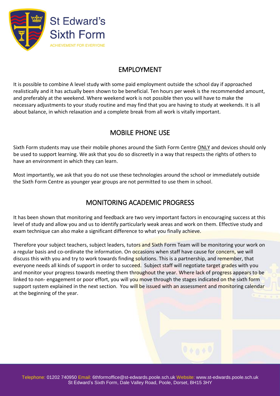

### EMPLOYMENT

<span id="page-8-0"></span>It is possible to combine A level study with some paid employment outside the school day if approached realistically and it has actually been shown to be beneficial. Ten hours per week is the recommended amount, and preferably at the weekend. Where weekend work is not possible then you will have to make the necessary adjustments to your study routine and may find that you are having to study at weekends. It is all about balance, in which relaxation and a complete break from all work is vitally important.

## MOBILE PHONE USE

<span id="page-8-1"></span>Sixth Form students may use their mobile phones around the Sixth Form Centre ONLY and devices should only be used to support learning. We ask that you do so discreetly in a way that respects the rights of others to have an environment in which they can learn.

<span id="page-8-2"></span>Most importantly, we ask that you do not use these technologies around the school or immediately outside the Sixth Form Centre as younger year groups are not permitted to use them in school.

## MONITORING ACADEMIC PROGRESS

It has been shown that monitoring and feedback are two very important factors in encouraging success at this level of study and allow you and us to identify particularly weak areas and work on them. Effective study and exam technique can also make a significant difference to what you finally achieve.

Therefore your subject teachers, subject leaders, tutors and Sixth Form Team will be monitoring your work on a regular basis and co-ordinate the information. On occasions when staff have cause for concern, we will discuss this with you and try to work towards finding solutions. This is a partnership, and remember, that everyone needs all kinds of support in order to succeed. Subject staff will negotiate target grades with you and monitor your progress towards meeting them throughout the year. Where lack of progress appears to be linked to non- engagement or poor effort, you will you move through the stages indicated on the sixth form support system explained in the next section. You will be issued with an assessment and monitoring calendar at the beginning of the year.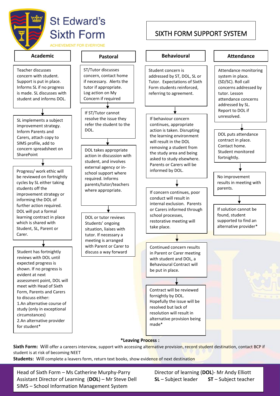

## **St Edward's Sixth Form**

**ACHIEVEMENT FOR EVERYONE** 

 $\overline{a}$ 



Teacher discusses concern with student. Support is put in place. Informs SL if no progress is made. SL discusses with student and informs DOL.

SL implements a subject improvement strategy. Inform Parents and Carers, attach copy to SIMS profile, add to concern spreadsheet on **SharePoint** 

Progress/ work ethic will be reviewed on fortnightly cycles by SL either taking students off the improvement strategy or informing the DOL of further action required. DOL will put a formal learning contract in place which is shared with Student, SL, Parent or Carer.

Student has fortnightly reviews with DOL until expected progress is shown. If no progress is evident at next assessment point, DOL will meet with Head of Sixth Form, Parents and Carers to discuss either: 1.An alternative course of study (only in exceptional circumstances) 2.An alternative provider for student\*



#### **\*Leaving Process :**

Sixth Form: Will offer a careers interview, support with accessing alternative provision, record student destination, contact BCP if student is at risk of becoming NEET

**Students:** Will complete a leavers form, return text books, show evidence of next destination

Assistant Director of Learning (DOL) – Mr Steve Dell **SL** – Subject leader **ST** – Subject teacher Sixth Form, Dale Valley Road, Poole, Poole, Dorset, Poole, Dorset, Base, Poole, 2016<br>SIMS – School Information Management System Head of Sixth Form – Ms Catherine Murphy-Parry Director of learning (DOL)- Mr Andy Elliott

## SIXTH FORM SUPPORT SYSTEM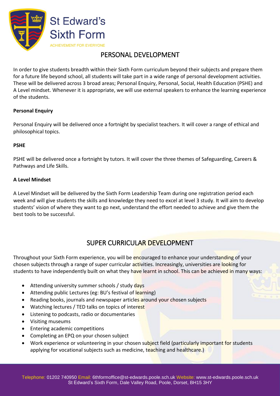

## PERSONAL DEVELOPMENT

<span id="page-10-0"></span>In order to give students breadth within their Sixth Form curriculum beyond their subjects and prepare them for a future life beyond school, all students will take part in a wide range of personal development activities. These will be delivered across 3 broad areas; Personal Enquiry, Personal, Social, Health Education (PSHE) and A Level mindset. Whenever it is appropriate, we will use external speakers to enhance the learning experience of the students.

#### **Personal Enquiry**

Personal Enquiry will be delivered once a fortnight by specialist teachers. It will cover a range of ethical and philosophical topics.

#### **PSHE**

PSHE will be delivered once a fortnight by tutors. It will cover the three themes of Safeguarding, Careers & Pathways and Life Skills.

#### **A Level Mindset**

A Level Mindset will be delivered by the Sixth Form Leadership Team during one registration period each week and will give students the skills and knowledge they need to excel at level 3 study. It will aim to develop students' vision of where they want to go next, understand the effort needed to achieve and give them the best tools to be successful.

### SUPER CURRICULAR DEVELOPMENT

<span id="page-10-1"></span>Throughout your Sixth Form experience, you will be encouraged to enhance your understanding of your chosen subjects through a range of super curricular activities. Increasingly, universities are looking for students to have independently built on what they have learnt in school. This can be achieved in many ways:

- Attending university summer schools / study days
- Attending public Lectures (eg: BU's festival of learning)
- Reading books, journals and newspaper articles around your chosen subjects
- Watching lectures / TED talks on topics of interest
- Listening to podcasts, radio or documentaries
- Visiting museums
- Entering academic competitions
- Completing an EPQ on your chosen subject
- Work experience or volunteering in your chosen subject field (particularly important for students applying for vocational subjects such as medicine, teaching and healthcare.)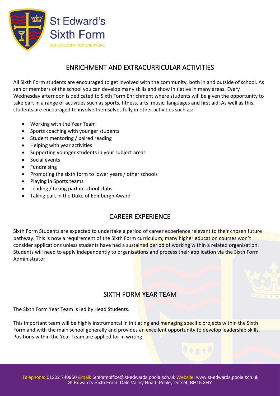

## ENRICHMENT AND EXTRACURRICULAR ACTIVITIES

<span id="page-11-0"></span>All Sixth Form students are encouraged to get involved with the community, both in and outside of school. As senior members of the school you can develop many skills and show initiative in many areas. Every Wednesday afternoon is dedicated to Sixth Form Enrichment where students will be given the opportunity to take part in a range of activities such as sports, fitness, arts, music, languages and first aid. As well as this, students are encouraged to involve themselves fully in other activities such as:

- Working with the Year Team
- Sports coaching with younger students
- Student mentoring / paired reading
- Helping with year activities
- Supporting younger students in your subject areas
- Social events
- Fundraising
- Promoting the sixth form to lower years / other schools
- Playing in Sports teams
- Leading / taking part in school clubs
- <span id="page-11-1"></span>• Taking part in the Duke of Edinburgh Award

### CAREER EXPERIENCE

Sixth Form Students are expected to undertake a period of career experience relevant to their chosen future pathway. This is now a requirement of the Sixth Form curriculum; many higher education courses won't consider applications unless students have had a sustained period of working within a related organisation. Students will need to apply independently to organisations and process their application via the Sixth Form Administrator.

## SIXTH FORM YEAR TEAM

<span id="page-11-2"></span>The Sixth Form Year Team is led by Head Students.

This important team will be highly instrumental in initiating and managing specific projects within the Sixth Form and with the main school generally and provides an excellent opportunity to develop leadership skills. Positions within the Year Team are applied for in writing.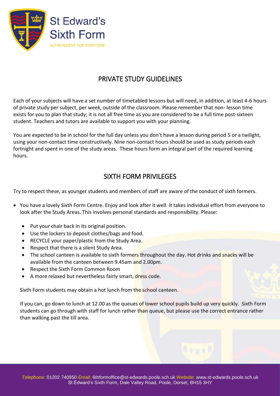

## PRIVATE STUDY GUIDELINES

<span id="page-12-0"></span>Each of your subjects will have a set number of timetabled lessons but will need, in addition, at least 4-6 hours of private study per subject, per week, outside of the classroom. Please remember that non- lesson time exists for you to plan that study; it is not all free time as you are considered to be a full time post-sixteen student. Teachers and tutors are available to support you with your planning.

You are expected to be in school for the full day unless you don't have a lesson during period 5 or a twilight, using your non-contact time constructively. Nine non-contact hours should be used as study periods each fortnight and spent in one of the study areas. These hours form an integral part of the required learning hours.

### SIXTH FORM PRIVILEGES

<span id="page-12-1"></span>Try to respect these, as younger students and members of staff are aware of the conduct of sixth formers.

- You have a lovely Sixth Form Centre. Enjoy and look after it well. It takes individual effort from everyone to look after the Study Areas. This involves personal standards and responsibility. Please:
	- Put your chair back in its original position.
	- Use the lockers to deposit clothes/bags and food.
	- RECYCLE your paper/plastic from the Study Area.
	- Respect that there is a silent Study Area.
	- The school canteen is available to sixth formers throughout the day. Hot drinks and snacks will be available from the canteen between 9.45am and 2.00pm.
	- Respect the Sixth Form Common Room
	- A more relaxed but nevertheless fairly smart, dress code.

Sixth Form students may obtain a hot lunch from the school canteen.

If you can, go down to lunch at 12.00 as the queues of lower school pupils build up very quickly. Sixth Form students can go through with staff for lunch rather than queue, but please use the correct entrance rather than walking past the till area.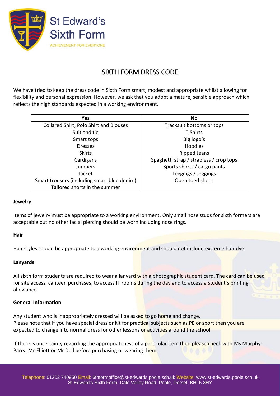

## SIXTH FORM DRESS CODE

<span id="page-13-0"></span>We have tried to keep the dress code in Sixth Form smart, modest and appropriate whilst allowing for flexibility and personal expression. However, we ask that you adopt a mature, sensible approach which reflects the high standards expected in a working environment.

| <b>Yes</b>                                  | <b>No</b>                               |
|---------------------------------------------|-----------------------------------------|
| Collared Shirt, Polo Shirt and Blouses      | Tracksuit bottoms or tops               |
| Suit and tie                                | <b>T Shirts</b>                         |
| Smart tops                                  | Big logo's                              |
| <b>Dresses</b>                              | <b>Hoodies</b>                          |
| <b>Skirts</b>                               | <b>Ripped Jeans</b>                     |
| Cardigans                                   | Spaghetti strap / strapless / crop tops |
| Jumpers                                     | Sports shorts / cargo pants             |
| Jacket                                      | Leggings / Jeggings                     |
| Smart trousers (including smart blue denim) | Open toed shoes                         |
| Tailored shorts in the summer               |                                         |

#### **Jewelry**

Items of jewelry must be appropriate to a working environment. Only small nose studs for sixth formers are acceptable but no other facial piercing should be worn including nose rings.

#### **Hair**

Hair styles should be appropriate to a working environment and should not include extreme hair dye.

#### **Lanyards**

All sixth form students are required to wear a lanyard with a photographic student card. The card can be used for site access, canteen purchases, to access IT rooms during the day and to access a student's printing allowance.

#### **General Information**

Any student who is inappropriately dressed will be asked to go home and change. Please note that if you have special dress or kit for practical subjects such as PE or sport then you are expected to change into normal dress for other lessons or activities around the school.

If there is uncertainty regarding the appropriateness of a particular item then please check with Ms Murphy-Parry, Mr Elliott or Mr Dell before purchasing or wearing them.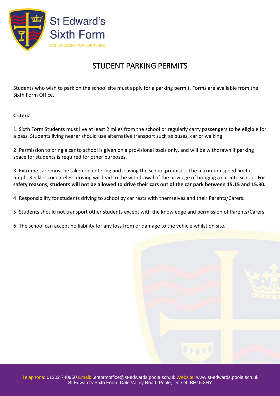

## STUDENT PARKING PERMITS

<span id="page-14-0"></span>Students who wish to park on the school site must apply for a parking permit. Forms are available from the Sixth Form Office.

#### **Criteria**

1. Sixth Form Students must live at least 2 miles from the school or regularly carry passengers to be eligible for a pass. Students living nearer should use alternative transport such as buses, car or walking.

2. Permission to bring a car to school is given on a provisional basis only, and will be withdrawn if parking space for students is required for other purposes.

3. Extreme care must be taken on entering and leaving the school premises. The maximum speed limit is 5mph. Reckless or careless driving will lead to the withdrawal of the privilege of bringing a car into school. **For safety reasons, students will not be allowed to drive their cars out of the car park between 15.15 and 15.30.**

4. Responsibility for students driving to school by car rests with themselves and their Parents/Carers.

- 5. Students should not transport other students except with the knowledge and permission of Parents/Carers.
- 6. The school can accept no liability for any loss from or damage to the vehicle whilst on site.

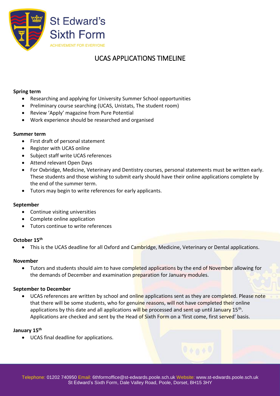

## UCAS APPLICATIONS TIMELINE

#### <span id="page-15-0"></span>**Spring term**

- Researching and applying for University Summer School opportunities
- Preliminary course searching (UCAS, Unistats, The student room)
- Review 'Apply' magazine from Pure Potential
- Work experience should be researched and organised

#### **Summer term**

- First draft of personal statement
- Register with UCAS online
- Subject staff write UCAS references
- Attend relevant Open Days
- For Oxbridge, Medicine, Veterinary and Dentistry courses, personal statements must be written early. These students and those wishing to submit early should have their online applications complete by the end of the summer term.
- Tutors may begin to write references for early applicants.

#### **September**

- Continue visiting universities
- Complete online application
- Tutors continue to write references

#### **October 15 th**

• This is the UCAS deadline for all Oxford and Cambridge, Medicine, Veterinary or Dental applications.

#### **November**

• Tutors and students should aim to have completed applications by the end of November allowing for the demands of December and examination preparation for January modules.

#### **September to December**

UCAS references are written by school and online applications sent as they are completed. Please note that there will be some students, who for genuine reasons, will not have completed their online applications by this date and all applications will be processed and sent up until January 15<sup>th</sup>. Applications are checked and sent by the Head of Sixth Form on a 'first come, first served' basis.

#### **January 15th**

• UCAS final deadline for applications.